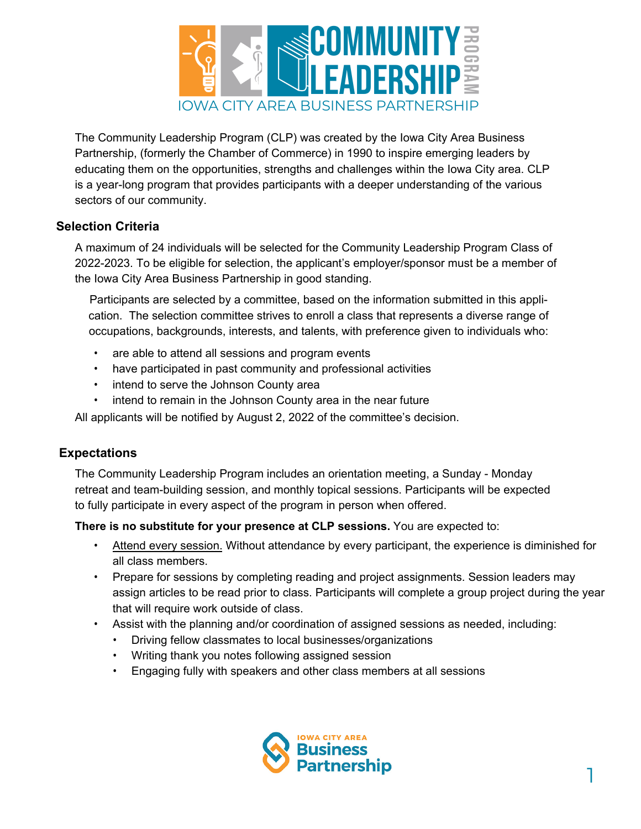

The Community Leadership Program (CLP) was created by the Iowa City Area Business Partnership, (formerly the Chamber of Commerce) in 1990 to inspire emerging leaders by educating them on the opportunities, strengths and challenges within the Iowa City area. CLP is a year-long program that provides participants with a deeper understanding of the various sectors of our community.

### **Selection Criteria**

A maximum of 24 individuals will be selected for the Community Leadership Program Class of 2022-2023. To be eligible for selection, the applicant's employer/sponsor must be a member of the Iowa City Area Business Partnership in good standing.

Participants are selected by a committee, based on the information submitted in this application. The selection committee strives to enroll a class that represents a diverse range of occupations, backgrounds, interests, and talents, with preference given to individuals who:

- are able to attend all sessions and program events
- have participated in past community and professional activities
- intend to serve the Johnson County area
- intend to remain in the Johnson County area in the near future

All applicants will be notified by August 2, 2022 of the committee's decision.

### **Expectations**

The Community Leadership Program includes an orientation meeting, a Sunday - Monday retreat and team-building session, and monthly topical sessions. Participants will be expected to fully participate in every aspect of the program in person when offered.

#### **There is no substitute for your presence at CLP sessions.** You are expected to:

- Attend every session. Without attendance by every participant, the experience is diminished for all class members.
- Prepare for sessions by completing reading and project assignments. Session leaders may assign articles to be read prior to class. Participants will complete a group project during the year that will require work outside of class.
- Assist with the planning and/or coordination of assigned sessions as needed, including:
	- Driving fellow classmates to local businesses/organizations
	- Writing thank you notes following assigned session
	- Engaging fully with speakers and other class members at all sessions

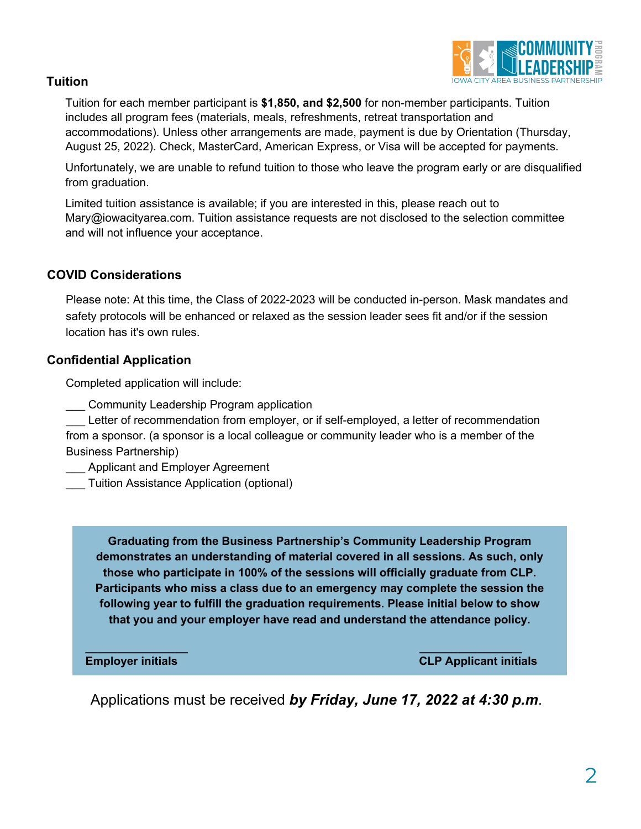#### **Tuition**



Tuition for each member participant is **\$1,850, and \$2,500** for non-member participants. Tuition includes all program fees (materials, meals, refreshments, retreat transportation and accommodations). Unless other arrangements are made, payment is due by Orientation (Thursday, August 25, 2022). Check, MasterCard, American Express, or Visa will be accepted for payments.

Unfortunately, we are unable to refund tuition to those who leave the program early or are disqualified from graduation.

Limited tuition assistance is available; if you are interested in this, please reach out to Mary@iowacityarea.com. Tuition assistance requests are not disclosed to the selection committee and will not influence your acceptance.

### **COVID Considerations**

Please note: At this time, the Class of 2022-2023 will be conducted in-person. Mask mandates and safety protocols will be enhanced or relaxed as the session leader sees fit and/or if the session location has it's own rules.

### **Confidential Application**

Completed application will include:

Community Leadership Program application

Letter of recommendation from employer, or if self-employed, a letter of recommendation from a sponsor. (a sponsor is a local colleague or community leader who is a member of the Business Partnership)

Applicant and Employer Agreement

\_\_\_ Tuition Assistance Application (optional)

**Graduating from the Business Partnership's Community Leadership Program demonstrates an understanding of material covered in all sessions. As such, only those who participate in 100% of the sessions will officially graduate from CLP. Participants who miss a class due to an emergency may complete the session the following year to fulfill the graduation requirements. Please initial below to show that you and your employer have read and understand the attendance policy.** 

**\_\_\_\_\_\_\_\_\_\_\_\_\_\_\_\_ Employer initials** 

**\_\_\_\_\_\_\_\_\_\_\_\_\_\_\_\_ CLP Applicant initials**

Applications must be received *by Friday, June 17, 2022 at 4:30 p.m*.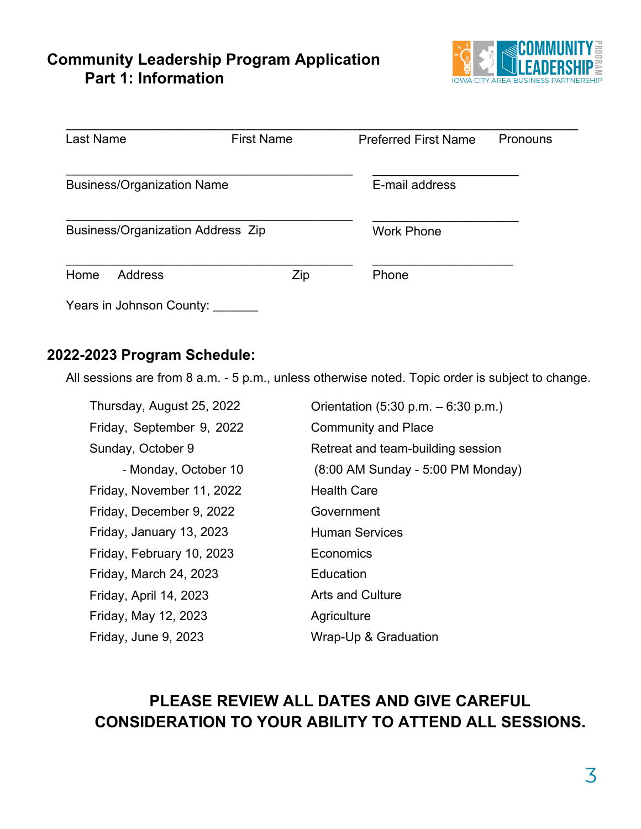## **Community Leadership Program Application Part 1: Information**



| Last Name                                |                          | <b>First Name</b> |     | <b>Preferred First Name</b> | Pronouns |
|------------------------------------------|--------------------------|-------------------|-----|-----------------------------|----------|
|                                          |                          |                   |     |                             |          |
| <b>Business/Organization Name</b>        |                          |                   |     | E-mail address              |          |
| <b>Business/Organization Address Zip</b> |                          |                   |     | <b>Work Phone</b>           |          |
| Home                                     | <b>Address</b>           |                   | Zip | Phone                       |          |
|                                          | Years in Johnson County: |                   |     |                             |          |

## **2022-2023 Program Schedule:**

All sessions are from 8 a.m. - 5 p.m., unless otherwise noted. Topic order is subject to change.

| Thursday, August 25, 2022 | Orientation (5:30 p.m. - 6:30 p.m.) |  |
|---------------------------|-------------------------------------|--|
| Friday, September 9, 2022 | <b>Community and Place</b>          |  |
| Sunday, October 9         | Retreat and team-building session   |  |
| - Monday, October 10      | $(8:00$ AM Sunday - 5:00 PM Monday) |  |
| Friday, November 11, 2022 | <b>Health Care</b>                  |  |
| Friday, December 9, 2022  | Government                          |  |
| Friday, January 13, 2023  | <b>Human Services</b>               |  |
| Friday, February 10, 2023 | Economics                           |  |
| Friday, March 24, 2023    | Education                           |  |
| Friday, April 14, 2023    | <b>Arts and Culture</b>             |  |
| Friday, May 12, 2023      | Agriculture                         |  |
| Friday, June 9, 2023      | Wrap-Up & Graduation                |  |

# **PLEASE REVIEW ALL DATES AND GIVE CAREFUL CONSIDERATION TO YOUR ABILITY TO ATTEND ALL SESSIONS.**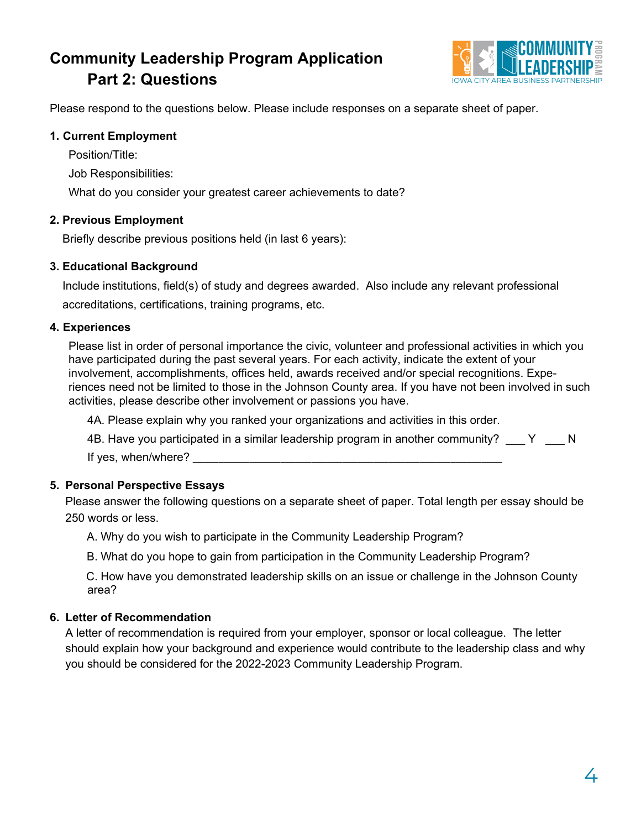# **Community Leadership Program Application Part 2: Questions**



Please respond to the questions below. Please include responses on a separate sheet of paper.

#### **1. Current Employment**

Position/Title:

Job Responsibilities:

What do you consider your greatest career achievements to date?

#### **2. Previous Employment**

Briefly describe previous positions held (in last 6 years):

#### **3. Educational Background**

Include institutions, field(s) of study and degrees awarded. Also include any relevant professional accreditations, certifications, training programs, etc.

#### **4. Experiences**

Please list in order of personal importance the civic, volunteer and professional activities in which you have participated during the past several years. For each activity, indicate the extent of your involvement, accomplishments, offices held, awards received and/or special recognitions. Experiences need not be limited to those in the Johnson County area. If you have not been involved in such activities, please describe other involvement or passions you have.

4A. Please explain why you ranked your organizations and activities in this order.

4B. Have you participated in a similar leadership program in another community? Y N

If yes, when/where?

#### **5. Personal Perspective Essays**

Please answer the following questions on a separate sheet of paper. Total length per essay should be 250 words or less.

A. Why do you wish to participate in the Community Leadership Program?

B. What do you hope to gain from participation in the Community Leadership Program?

C. How have you demonstrated leadership skills on an issue or challenge in the Johnson County area?

#### **6. Letter of Recommendation**

A letter of recommendation is required from your employer, sponsor or local colleague. The letter should explain how your background and experience would contribute to the leadership class and why you should be considered for the 2022-2023 Community Leadership Program.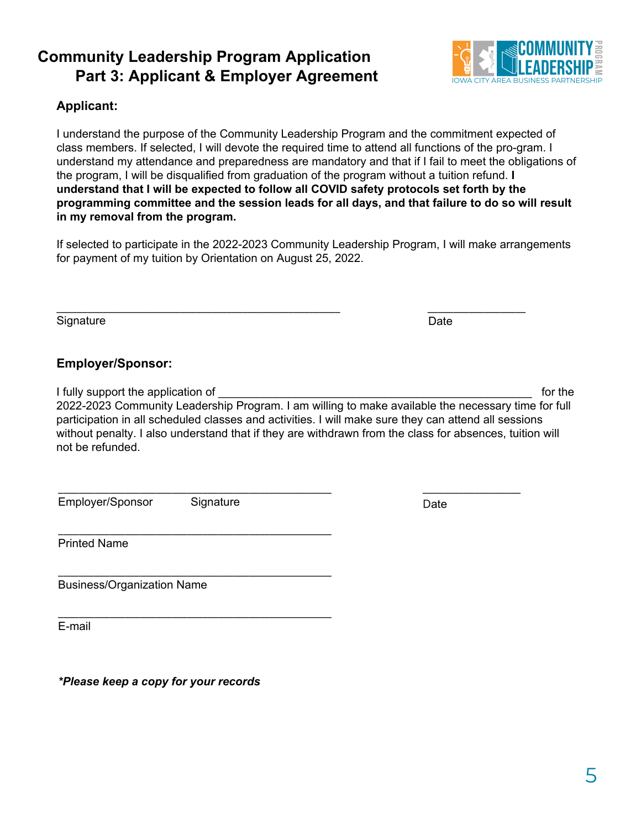## **Community Leadership Program Application Part 3: Applicant & Employer Agreement**

\_\_\_\_\_\_\_\_\_\_\_\_\_\_\_\_\_\_\_\_\_\_\_\_\_\_\_\_\_\_\_\_\_\_\_\_\_\_\_\_\_\_\_\_\_\_\_\_\_\_\_\_\_\_\_

\_\_\_\_\_\_\_\_\_\_\_\_\_\_\_\_\_\_\_\_\_\_\_\_\_\_\_\_\_\_\_\_\_\_\_\_\_\_\_\_\_\_\_\_\_\_\_\_\_\_\_\_\_

\_\_\_\_\_\_\_\_\_\_\_\_\_\_\_\_\_\_\_\_\_\_\_\_\_\_\_\_\_\_\_\_\_\_\_\_\_\_\_\_\_\_\_\_\_\_\_\_\_\_\_\_\_

\_\_\_\_\_\_\_\_\_\_\_\_\_\_\_\_\_\_\_\_\_\_\_\_\_\_\_\_\_\_\_\_\_\_\_\_\_\_\_\_\_\_\_\_\_\_\_\_\_\_\_\_\_

\_\_\_\_\_\_\_\_\_\_\_\_\_\_\_\_\_\_\_\_\_\_\_\_\_\_\_\_\_\_\_\_\_\_\_\_\_\_\_\_\_\_\_\_\_\_\_\_\_\_\_\_\_

## **Applicant:**

I understand the purpose of the Community Leadership Program and the commitment expected of class members. If selected, I will devote the required time to attend all functions of the pro-gram. I understand my attendance and preparedness are mandatory and that if I fail to meet the obligations of the program, I will be disqualified from graduation of the program without a tuition refund. **I understand that I will be expected to follow all COVID safety protocols set forth by the programming committee and the session leads for all days, and that failure to do so will result in my removal from the program.**

If selected to participate in the 2022-2023 Community Leadership Program, I will make arrangements for payment of my tuition by Orientation on August 25, 2022.

Signature

### **Employer/Sponsor:**

I fully support the application of **EXECUTE:** The state of the state of the state of the state of the state of the state of the state of the state of the state of the state of the state of the state of the state of the sta 2022-2023 Community Leadership Program. I am willing to make available the necessary time for full participation in all scheduled classes and activities. I will make sure they can attend all sessions without penalty. I also understand that if they are withdrawn from the class for absences, tuition will not be refunded.

Employer/Sponsor Signature

Printed Name

Business/Organization Name

E-mail

*\*Please keep a copy for your records*



Date

\_\_\_\_\_\_\_\_\_\_\_\_\_\_\_\_\_\_\_

Date

 $\overline{\phantom{a}}$  , where the contract of the contract of the contract of the contract of the contract of the contract of the contract of the contract of the contract of the contract of the contract of the contract of the contr